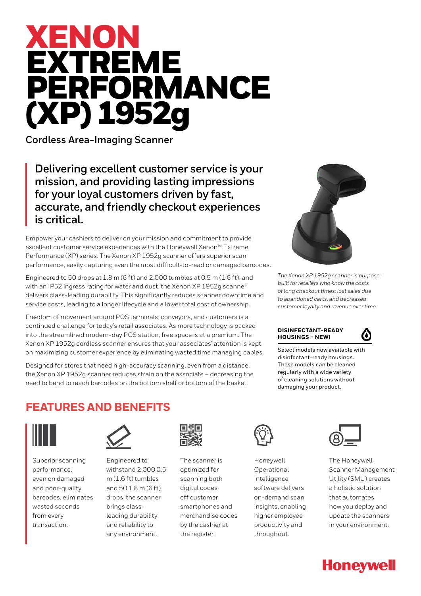# XENON EXTREME PERFORMANCE (XP) 1952g

**Cordless Area-Imaging Scanner**

**Delivering excellent customer service is your mission, and providing lasting impressions for your loyal customers driven by fast, accurate, and friendly checkout experiences is critical.**

Empower your cashiers to deliver on your mission and commitment to provide excellent customer service experiences with the Honeywell Xenon™ Extreme Performance (XP) series. The Xenon XP 1952g scanner offers superior scan performance, easily capturing even the most difficult-to-read or damaged barcodes.

Engineered to 50 drops at 1.8 m (6 ft) and 2,000 tumbles at 0.5 m (1.6 ft), and with an IP52 ingress rating for water and dust, the Xenon XP 1952g scanner delivers class-leading durability. This significantly reduces scanner downtime and service costs, leading to a longer lifecycle and a lower total cost of ownership.

Freedom of movement around POS terminals, conveyors, and customers is a continued challenge for today's retail associates. As more technology is packed into the streamlined modern-day POS station, free space is at a premium. The Xenon XP 1952g cordless scanner ensures that your associates' attention is kept on maximizing customer experience by eliminating wasted time managing cables.

Designed for stores that need high-accuracy scanning, even from a distance, the Xenon XP 1952g scanner reduces strain on the associate – decreasing the need to bend to reach barcodes on the bottom shelf or bottom of the basket.



*The Xenon XP 1952g scanner is purposebuilt for retailers who know the costs of long checkout times: lost sales due to abandoned carts, and decreased customer loyalty and revenue over time.*

### **DISINFECTANT-READY HOUSINGS – NEW!**



Select models now available with disinfectant-ready housings. These models can be cleaned regularly with a wide variety of cleaning solutions without damaging your product.

# **FEATURES AND BENEFITS**



Superior scanning performance, even on damaged and poor-quality barcodes, eliminates wasted seconds from every transaction.



Engineered to withstand 2,000 0.5 m (1.6 ft) tumbles and 50 1.8 m (6 ft) drops, the scanner brings classleading durability and reliability to any environment.



The scanner is optimized for scanning both digital codes off customer smartphones and merchandise codes by the cashier at the register.



Honeywell **Operational** Intelligence software delivers on-demand scan insights, enabling higher employee productivity and throughout.



The Honeywell Scanner Management Utility (SMU) creates a holistic solution that automates how you deploy and update the scanners in your environment.